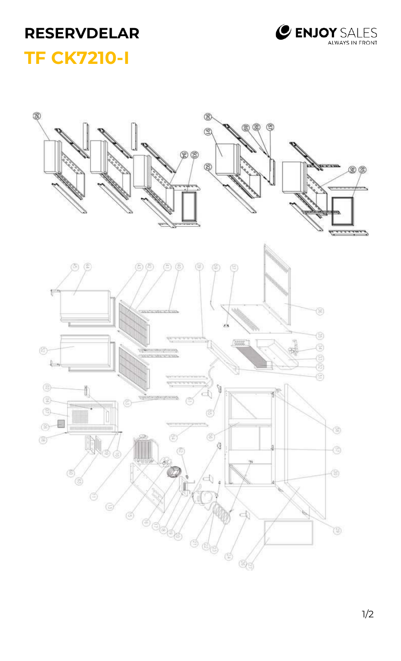

## **RESERVDELAR**

**TF CK7210-I**